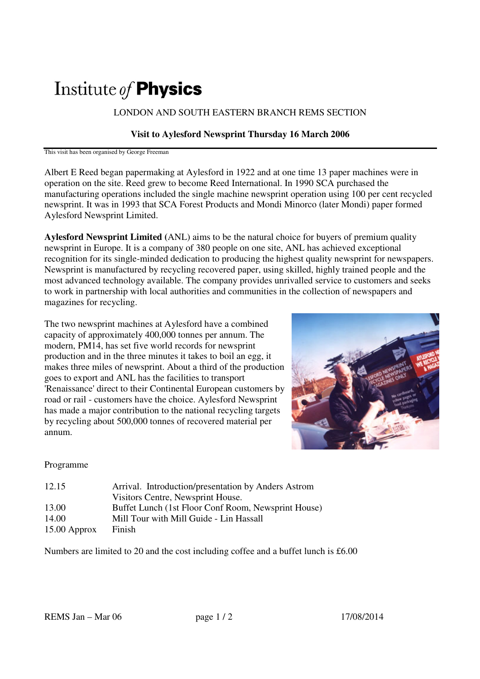# Institute of **Physics**

LONDON AND SOUTH EASTERN BRANCH REMS SECTION

#### **Visit to Aylesford Newsprint Thursday 16 March 2006**

This visit has been organised by George Freeman

Albert E Reed began papermaking at Aylesford in 1922 and at one time 13 paper machines were in operation on the site. Reed grew to become Reed International. In 1990 SCA purchased the manufacturing operations included the single machine newsprint operation using 100 per cent recycled newsprint. It was in 1993 that SCA Forest Products and Mondi Minorco (later Mondi) paper formed Aylesford Newsprint Limited.

**Aylesford Newsprint Limited (**ANL) aims to be the natural choice for buyers of premium quality newsprint in Europe. It is a company of 380 people on one site, ANL has achieved exceptional recognition for its single-minded dedication to producing the highest quality newsprint for newspapers. Newsprint is manufactured by recycling recovered paper, using skilled, highly trained people and the most advanced technology available. The company provides unrivalled service to customers and seeks to work in partnership with local authorities and communities in the collection of newspapers and magazines for recycling.

The two newsprint machines at Aylesford have a combined capacity of approximately 400,000 tonnes per annum. The modern, PM14, has set five world records for newsprint production and in the three minutes it takes to boil an egg, it makes three miles of newsprint. About a third of the production goes to export and ANL has the facilities to transport 'Renaissance' direct to their Continental European customers by road or rail - customers have the choice. Aylesford Newsprint has made a major contribution to the national recycling targets by recycling about 500,000 tonnes of recovered material per annum.



#### Programme

| 12.15          | Arrival. Introduction/presentation by Anders Astrom |
|----------------|-----------------------------------------------------|
|                | Visitors Centre, Newsprint House.                   |
| 13.00          | Buffet Lunch (1st Floor Conf Room, Newsprint House) |
| 14.00          | Mill Tour with Mill Guide - Lin Hassall             |
| $15.00$ Approx | Finish                                              |

Numbers are limited to 20 and the cost including coffee and a buffet lunch is £6.00